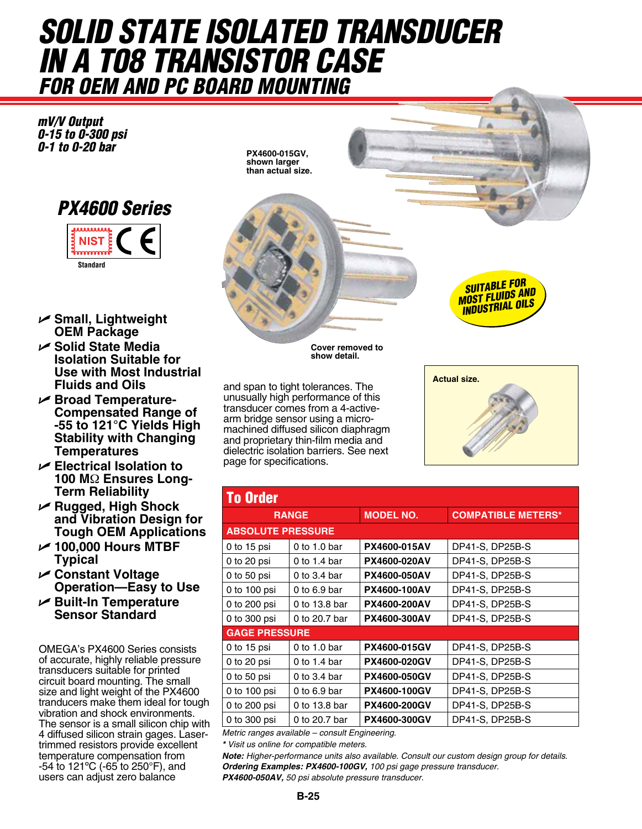# *solid state isolated Transducer in a T08 Transistor Case For OEM and PC Board Mounting*

*mV/V Output 0-15 to 0-300 psi 0-1 to 0-20 bar*



- U **Small, Lightweight OEM Package**
- U **Solid State Media Isolation Suitable for Use with Most Industrial Fluids and Oils**
- U **Broad Temperature-Compensated Range of -55 to 121°C Yields High Stability with Changing Temperatures**
- U **Electrical Isolation to 100 M**Ω **Ensures Long-Term Reliability**
- U **Rugged, High Shock and Vibration Design for Tough OEM Applications**
- U **100,000 Hours MTBF Typical**
- U **Constant Voltage Operation—Easy to Use**
- U **Built-In Temperature Sensor Standard**

OMEGA's PX4600 Series consists of accurate, highly reliable pressure transducers suitable for printed circuit board mounting. The small size and light weight of the PX4600 tranducers make them ideal for tough vibration and shock environments. The sensor is a small silicon chip with 4 diffused silicon strain gages. Lasertrimmed resistors provide excellent temperature compensation from -54 to 121ºC (-65 to 250°F), and users can adjust zero balance

**PX4600-015GV, shown larger than actual size.**



**Cover removed to show detail.**

and span to tight tolerances. The unusually high performance of this transducer comes from a 4-activearm bridge sensor using a micromachined diffused silicon diaphragm and proprietary thin-film media and dielectric isolation barriers. See next page for specifications.



**Actual size.**

| <b>To Order</b>          |                |                     |                           |
|--------------------------|----------------|---------------------|---------------------------|
| <b>RANGE</b>             |                | <b>MODEL NO.</b>    | <b>COMPATIBLE METERS*</b> |
| <b>ABSOLUTE PRESSURE</b> |                |                     |                           |
| 0 to $15$ psi            | $0$ to 1.0 bar | PX4600-015AV        | DP41-S, DP25B-S           |
| 0 to $20$ psi            | 0 to 1.4 bar   | <b>PX4600-020AV</b> | DP41-S, DP25B-S           |
| 0 to 50 $psi$            | 0 to $3.4$ bar | <b>PX4600-050AV</b> | DP41-S, DP25B-S           |
| 0 to 100 psi             | 0 to $6.9$ bar | <b>PX4600-100AV</b> | DP41-S, DP25B-S           |
| 0 to 200 psi             | 0 to 13.8 bar  | <b>PX4600-200AV</b> | DP41-S, DP25B-S           |
| 0 to 300 psi             | 0 to 20.7 bar  | <b>PX4600-300AV</b> | DP41-S, DP25B-S           |
| <b>GAGE PRESSURE</b>     |                |                     |                           |
| 0 to $15$ psi            | 0 to 1.0 bar   | <b>PX4600-015GV</b> | DP41-S, DP25B-S           |
| 0 to $20$ psi            | 0 to 1.4 bar   | <b>PX4600-020GV</b> | DP41-S, DP25B-S           |
| 0 to 50 $psi$            | 0 to $3.4$ bar | <b>PX4600-050GV</b> | DP41-S, DP25B-S           |
| 0 to 100 psi             | 0 to $6.9$ bar | <b>PX4600-100GV</b> | DP41-S, DP25B-S           |
| 0 to 200 psi             | 0 to 13.8 bar  | <b>PX4600-200GV</b> | DP41-S, DP25B-S           |
| 0 to 300 psi             | 0 to 20.7 bar  | PX4600-300GV        | DP41-S, DP25B-S           |

*Metric ranges available – consult Engineering.*

*\* Visit us online for compatible meters.*

*Note: Higher-performance units also available. Consult our custom design group for details. Ordering Examples: PX4600-100GV, 100 psi gage pressure transducer. PX4600-050AV, 50 psi absolute pressure transducer.*